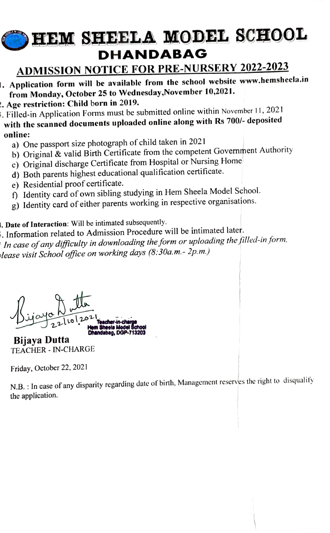## HEM SHEELA MODEL SCHOOL DHANDABAG

## ADMISSION NOTICE FOR PRE-NURSERY 2022-2023

- . Application form will be available from the school website www.hemsheela.in from Monday, October 25 to Wednesday,November 10,2021.
- .Age restriction: Child born in 2019.
- . Filled-in Application Forms must be submitted online within November 11, 2021
- with the scanned documents uploaded online along with Rs 700/- deposited online:
	- a) One passport size photograph of child taken in 2021
	- b) Original & valid Birth Certificate from the competent Government Authority
	- c) Original discharge Certificate from Hospital or Nursing Home
	- d) Both parents highest educational qualification certificate.
	- e) Residential proof certificate.
	- f) Identity card of own sibling studying in Hem Sheela Model School.
	- g) Identity card of either parents working in respective organisations.

. Date of Interaction: Will be intimated subsequently.

5. Information related to Admission Procedure will be intimated later. In case of any difficulty in downloading the form or uploading the filled-in form, olease visit School ofice on working days (8:30a.m.- 2p.m.)

Dijayo Noter-in-charge Contract London Sheele Model School 2216

Bijaya Dutta TEACHER - IN-CHARGE

Friday, October 22, 2021

N.B. : In case of any disparity regarding date of birth, Management reserves the right to disqualify the application.